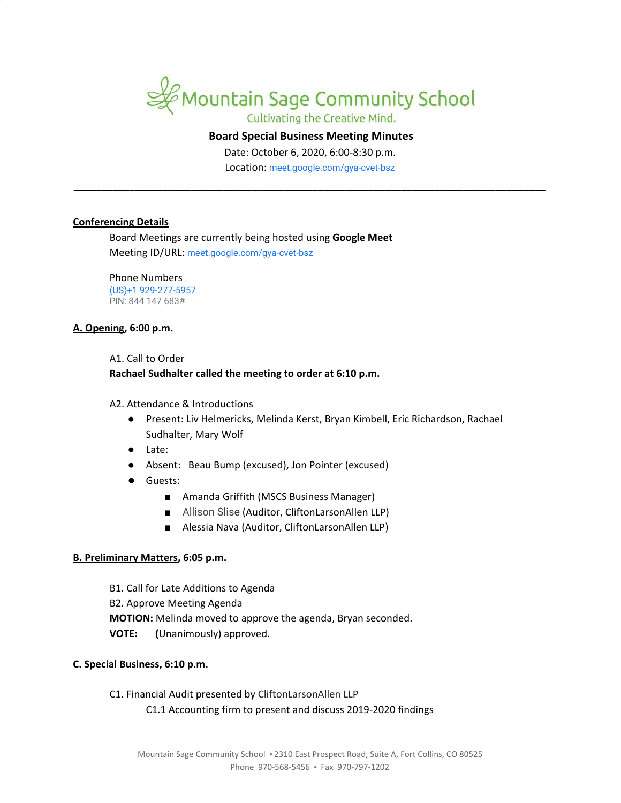

# Cultivating the Creative Mind.

#### **Board Special Business Meeting Minutes**

Date: October 6, 2020, 6:00-8:30 p.m.

Location: [meet.google.com/gya-cvet-bsz](https://meet.google.com/gya-cvet-bsz?hs=122&authuser=1) **\_\_\_\_\_\_\_\_\_\_\_\_\_\_\_\_\_\_\_\_\_\_\_\_\_\_\_\_\_\_\_\_\_\_\_\_\_\_\_\_\_\_\_\_\_\_\_\_\_\_\_\_\_\_\_\_\_\_\_\_\_\_\_\_\_\_\_\_\_\_\_\_\_\_\_\_\_\_\_\_\_\_\_\_\_**

## **Conferencing Details**

Board Meetings are currently being hosted using **Google Meet** Meeting ID/URL: [meet.google.com/gya-cvet-bsz](https://meet.google.com/gya-cvet-bsz?hs=122&authuser=1)

Phone Numbers (US)+1 929-277-5957 PIN: 844 147 683#

## **A. Opening, 6:00 p.m.**

#### A1. Call to Order

## **Rachael Sudhalter called the meeting to order at 6:10 p.m.**

A2. Attendance & Introductions

- Present: Liv Helmericks, Melinda Kerst, Bryan Kimbell, Eric Richardson, Rachael Sudhalter, Mary Wolf
- Late:
- Absent: Beau Bump (excused), Jon Pointer (excused)
- Guests:
	- Amanda Griffith (MSCS Business Manager)
	- Allison Slise (Auditor, CliftonLarsonAllen LLP)
	- Alessia Nava (Auditor, CliftonLarsonAllen LLP)

# **B. Preliminary Matters, 6:05 p.m.**

B1. Call for Late Additions to Agenda B2. Approve Meeting Agenda **MOTION:** Melinda moved to approve the agenda, Bryan seconded. **VOTE: (**Unanimously) approved.

#### **C. Special Business, 6:10 p.m.**

C1. Financial Audit presented by CliftonLarsonAllen LLP C1.1 Accounting firm to present and discuss 2019-2020 findings